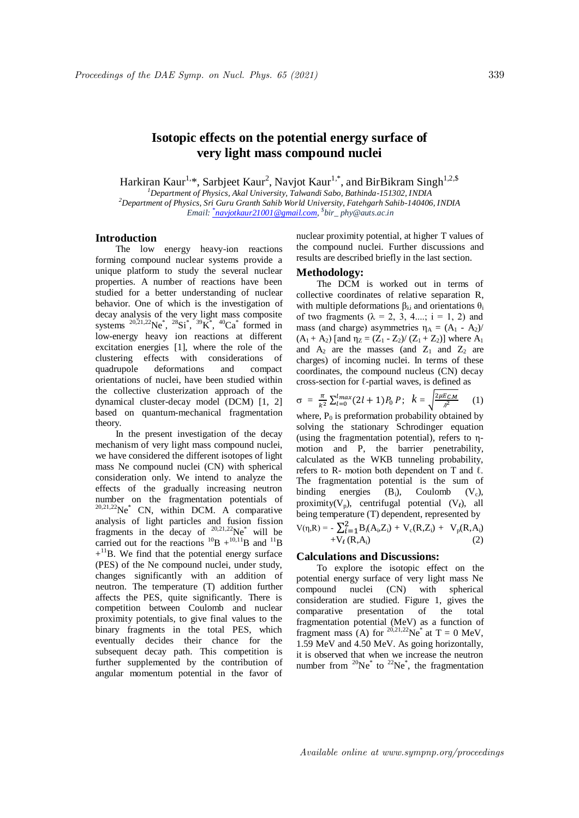# **Isotopic effects on the potential energy surface of very light mass compound nuclei**

Harkiran Kaur<sup>1,\*</sup>, Sarbjeet Kaur<sup>2</sup>, Navjot Kaur<sup>1,\*</sup>, and BirBikram Singh<sup>1,2,\$</sup>

*<sup>1</sup>Department of Physics, Akal University, Talwandi Sabo, Bathinda-151302, INDIA <sup>2</sup>Department of Physics, Sri Guru Granth Sahib World University, Fatehgarh Sahib-140406, INDIA Email: \* navjotkaur21001@gmail.com, \$ bir\_ phy@auts.ac.in*

# **Introduction**

The low energy heavy-ion reactions forming compound nuclear systems provide a unique platform to study the several nuclear properties. A number of reactions have been studied for a better understanding of nuclear behavior. One of which is the investigation of decay analysis of the very light mass composite systems  $^{20,21,22}$ Ne<sup>\*</sup>,  $^{28}Si^*$ ,  $^{39}K^*$ ,  $^{40}Ca^*$  formed in low-energy heavy ion reactions at different excitation energies [1], where the role of the clustering effects with considerations of quadrupole deformations and compact orientations of nuclei, have been studied within the collective clusterization approach of the dynamical cluster-decay model (DCM) [1, 2] based on quantum-mechanical fragmentation theory.

In the present investigation of the decay mechanism of very light mass compound nuclei, we have considered the different isotopes of light mass Ne compound nuclei (CN) with spherical consideration only. We intend to analyze the effects of the gradually increasing neutron number on the fragmentation potentials of  $20,21,22$ Ne<sup>\*</sup> CN, within DCM. A comparative analysis of light particles and fusion fission fragments in the decay of  $20,21,22$ Ne\* will be carried out for the reactions  ${}^{10}B + {}^{10,11}B$  and  ${}^{11}B$  $+$ <sup>11</sup>B. We find that the potential energy surface (PES) of the Ne compound nuclei, under study, changes significantly with an addition of neutron. The temperature (T) addition further affects the PES, quite significantly. There is competition between Coulomb and nuclear proximity potentials, to give final values to the binary fragments in the total PES, which eventually decides their chance for the subsequent decay path. This competition is further supplemented by the contribution of angular momentum potential in the favor of

nuclear proximity potential, at higher T values of the compound nuclei. Further discussions and results are described briefly in the last section.

## **Methodology:**

The DCM is worked out in terms of collective coordinates of relative separation R, with multiple deformations  $β_{λi}$  and orientations  $θ_i$ of two fragments  $(\lambda = 2, 3, 4,...; i = 1, 2)$  and mass (and charge) asymmetries  $\eta_A = (A_1 - A_2)$  $(A_1 + A_2)$  [and  $\eta_Z = (Z_1 - Z_2)/(Z_1 + Z_2)$ ] where  $A_1$ and  $A_2$  are the masses (and  $Z_1$  and  $Z_2$  are charges) of incoming nuclei. In terms of these coordinates, the compound nucleus (CN) decay cross-section for ℓ-partial waves, is defined as

$$
\sigma = \frac{\pi}{k^2} \sum_{l=0}^{l} (2l+1) P_0 P; \quad k = \sqrt{\frac{2\mu E_{CM}}{\lambda^2}} \quad (1)
$$

where,  $P_0$  is preformation probability obtained by solving the stationary Schrodinger equation (using the fragmentation potential), refers to ηmotion and P, the barrier penetrability, calculated as the WKB tunneling probability, refers to R- motion both dependent on T and  $\ell$ . The fragmentation potential is the sum of binding energies  $(B_i)$ , Coulomb  $(V_c)$ , proximity( $V_p$ ), centrifugal potential ( $V_\ell$ ), all being temperature (T) dependent, represented by  $V(\eta, R) = -\sum_{i=1}^{2} B_i(A_i, Z_i) + V_c(R, Z_i) + V_p(R, A_i)$  $+V_{\ell} (R, A_i)$  (2)

### **Calculations and Discussions:**

To explore the isotopic effect on the potential energy surface of very light mass Ne compound nuclei (CN) with spherical consideration are studied. Figure 1, gives the comparative presentation of the total fragmentation potential (MeV) as a function of fragment mass (A) for  $^{20,21,22}$ Ne<sup>\*</sup> at T = 0 MeV, 1.59 MeV and 4.50 MeV. As going horizontally, it is observed that when we increase the neutron number from  $^{20}Ne^*$  to  $^{22}Ne^*$ , the fragmentation